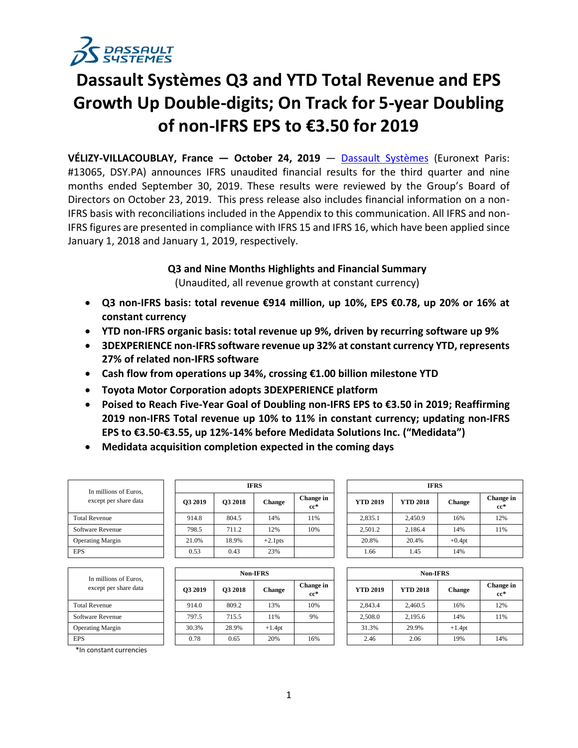

# **Dassault Systèmes Q3 and YTD Total Revenue and EPS Growth Up Double-digits; On Track for 5-year Doubling of non-IFRS EPS to €3.50 for 2019**

**VÉLIZY-VILLACOUBLAY, France — October 24, 2019** — [Dassault Systèmes](http://www.3ds.com/) (Euronext Paris: #13065, DSY.PA) announces IFRS unaudited financial results for the third quarter and nine months ended September 30, 2019. These results were reviewed by the Group's Board of Directors on October 23, 2019. This press release also includes financial information on a non-IFRS basis with reconciliations included in the Appendix to this communication. All IFRS and non-IFRS figures are presented in compliance with IFRS 15 and IFRS 16, which have been applied since January 1, 2018 and January 1, 2019, respectively.

# **Q3 and Nine Months Highlights and Financial Summary**

(Unaudited, all revenue growth at constant currency)

- **Q3 non-IFRS basis: total revenue €914 million, up 10%, EPS €0.78, up 20% or 16% at constant currency**
- **YTD non-IFRS organic basis: total revenue up 9%, driven by recurring software up 9%**
- **3DEXPERIENCE non-IFRS software revenue up 32% at constant currency YTD, represents 27% of related non-IFRS software**
- **Cash flow from operations up 34%, crossing €1.00 billion milestone YTD**
- **Toyota Motor Corporation adopts 3DEXPERIENCE platform**
- **Poised to Reach Five-Year Goal of Doubling non-IFRS EPS to €3.50 in 2019; Reaffirming 2019 non-IFRS Total revenue up 10% to 11% in constant currency; updating non-IFRS EPS to €3.50-€3.55, up 12%-14% before Medidata Solutions Inc. ("Medidata")**
- **Medidata acquisition completion expected in the coming days**

| In millions of Euros,<br>except per share data |
|------------------------------------------------|
| <b>Total Revenue</b>                           |
| Software Revenue                               |
| <b>Operating Margin</b>                        |
| <b>FPS</b>                                     |

| In millions of Euros,<br>except per share data |         |         | <b>IFRS</b>   |                     |                 | <b>IFRS</b>     |          |  |
|------------------------------------------------|---------|---------|---------------|---------------------|-----------------|-----------------|----------|--|
|                                                | O3 2019 | O3 2018 | <b>Change</b> | Change in<br>$cc^*$ | <b>YTD 2019</b> | <b>YTD 2018</b> | Chang    |  |
| <b>Total Revenue</b>                           | 914.8   | 804.5   | 14%           | 11%                 | 2,835.1         | 2.450.9         | 16%      |  |
| Software Revenue                               | 798.5   | 711.2   | 12%           | 10%                 | 2,501.2         | 2,186.4         | 14%      |  |
| <b>Operating Margin</b>                        | 21.0%   | 18.9%   | $+2.1$ pts    |                     | 20.8%           | 20.4%           | $+0.4pt$ |  |
| <b>EPS</b>                                     | 0.53    | 0.43    | 23%           |                     | 1.66            | 1.45            | 14%      |  |

| In millions of Euros.<br>except per share data |         |         | <b>Non-IFRS</b> |                     | <b>Non-IFRS</b> |                 |               |                  |  |  |  |
|------------------------------------------------|---------|---------|-----------------|---------------------|-----------------|-----------------|---------------|------------------|--|--|--|
|                                                | O3 2019 | O3 2018 | <b>Change</b>   | Change in<br>$cc^*$ | <b>YTD 2019</b> | <b>YTD 2018</b> | <b>Change</b> | Change<br>$cc^*$ |  |  |  |
| <b>Total Revenue</b>                           | 914.0   | 809.2   | 13%             | 10%                 | 2.843.4         | 2.460.5         | 16%           | 12%              |  |  |  |
| Software Revenue                               | 797.5   | 715.5   | 11%             | 9%                  | 2,508.0         | 2,195.6         | 14%           | 11%              |  |  |  |
| <b>Operating Margin</b>                        | 30.3%   | 28.9%   | $+1.4pt$        |                     | 31.3%           | 29.9%           | $+1.4pt$      |                  |  |  |  |
| <b>EPS</b>                                     | 0.78    | 0.65    | 20%             | 16%                 | 2.46            | 2.06            | 19%           | 14%              |  |  |  |

| In millions of Euros,<br>except per share data | <b>IFRS</b> |                |            |                     |  | <b>IFRS</b>     |                 |               |                     |  |  |  |
|------------------------------------------------|-------------|----------------|------------|---------------------|--|-----------------|-----------------|---------------|---------------------|--|--|--|
|                                                | O3 2019     | <b>O3 2018</b> | Change     | Change in<br>$cc^*$ |  | <b>YTD 2019</b> | <b>YTD 2018</b> | <b>Change</b> | Change in<br>$cc^*$ |  |  |  |
| <b>Total Revenue</b>                           | 914.8       | 804.5          | 14%        | 11%                 |  | 2,835.1         | 2.450.9         | 16%           | 12%                 |  |  |  |
| Software Revenue                               | 798.5       | 711.2          | 12%        | 10%                 |  | 2,501.2         | 2.186.4         | 14%           | 11%                 |  |  |  |
| <b>Operating Margin</b>                        | 21.0%       | 18.9%          | $+2.1$ pts |                     |  | 20.8%           | 20.4%           | $+0.4pt$      |                     |  |  |  |
| <b>EPS</b>                                     | 0.53        | 0.43           | 23%        |                     |  | 1.66            | 1.45            | 14%           |                     |  |  |  |

|    | <b>Non-IFRS</b> |                     | <b>Non-IFRS</b> |                 |               |                     |  |  |  |
|----|-----------------|---------------------|-----------------|-----------------|---------------|---------------------|--|--|--|
| 18 | <b>Change</b>   | Change in<br>$cc^*$ | <b>YTD 2019</b> | <b>YTD 2018</b> | <b>Change</b> | Change in<br>$cc^*$ |  |  |  |
|    | 13%             | 10%                 | 2,843.4         | 2,460.5         | 16%           | 12%                 |  |  |  |
|    | 11%             | 9%                  | 2,508.0         | 2,195.6         | 14%           | 11%                 |  |  |  |
|    | $+1.4pt$        |                     | 31.3%           | 29.9%           | $+1.4pt$      |                     |  |  |  |
|    | 20%             | 16%                 | 2.46            | 2.06            | 19%           | 14%                 |  |  |  |

\*In constant currencies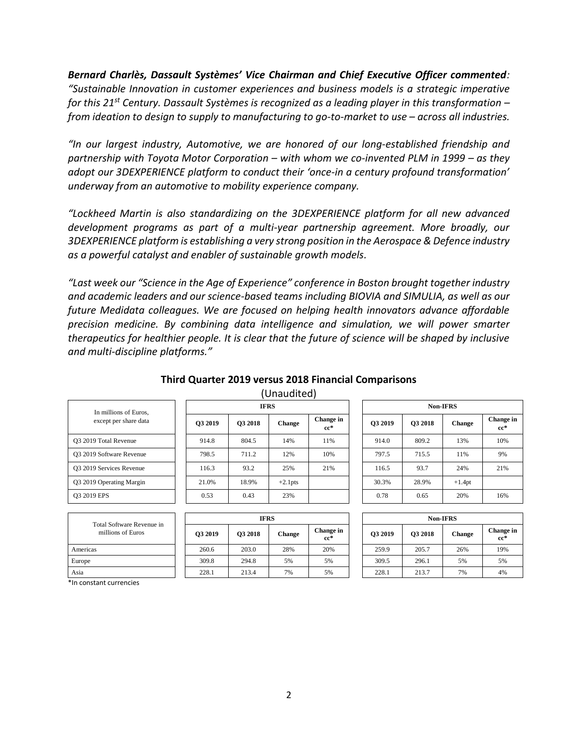*Bernard Charlès, Dassault Systèmes' Vice Chairman and Chief Executive Officer commented: "Sustainable Innovation in customer experiences and business models is a strategic imperative for this 21st Century. Dassault Systèmes is recognized as a leading player in this transformation – from ideation to design to supply to manufacturing to go-to-market to use – across all industries.* 

*"In our largest industry, Automotive, we are honored of our long-established friendship and partnership with Toyota Motor Corporation – with whom we co-invented PLM in 1999 – as they adopt our 3DEXPERIENCE platform to conduct their 'once-in a century profound transformation' underway from an automotive to mobility experience company.* 

*"Lockheed Martin is also standardizing on the 3DEXPERIENCE platform for all new advanced development programs as part of a multi-year partnership agreement. More broadly, our 3DEXPERIENCE platform is establishing a very strong position in the Aerospace & Defence industry as a powerful catalyst and enabler of sustainable growth models.*

*"Last week our "Science in the Age of Experience" conference in Boston brought together industry and academic leaders and our science-based teams including BIOVIA and SIMULIA, as well as our future Medidata colleagues. We are focused on helping health innovators advance affordable precision medicine. By combining data intelligence and simulation, we will power smarter therapeutics for healthier people. It is clear that the future of science will be shaped by inclusive and multi-discipline platforms."*

|                                                |             |                | Unduulteu <i>l</i> |                     |  |                 |                |               |                  |  |  |
|------------------------------------------------|-------------|----------------|--------------------|---------------------|--|-----------------|----------------|---------------|------------------|--|--|
| In millions of Euros,<br>except per share data | <b>IFRS</b> |                |                    |                     |  | <b>Non-IFRS</b> |                |               |                  |  |  |
|                                                | O3 2019     | <b>O3 2018</b> | <b>Change</b>      | Change in<br>$cc^*$ |  | O3 2019         | <b>O3 2018</b> | <b>Change</b> | Change<br>$cc^*$ |  |  |
| O3 2019 Total Revenue                          | 914.8       | 804.5          | 14%                | 11%                 |  | 914.0           | 809.2          | 13%           | 10%              |  |  |
| O3 2019 Software Revenue                       | 798.5       | 711.2          | 12%                | 10%                 |  | 797.5           | 715.5          | 11%           | 9%               |  |  |
| <b>03 2019 Services Revenue</b>                | 116.3       | 93.2           | 25%                | 21%                 |  | 116.5           | 93.7           | 24%           | 21%              |  |  |
| Q3 2019 Operating Margin                       | 21.0%       | 18.9%          | $+2.1$ pts         |                     |  | 30.3%           | 28.9%          | $+1.4pt$      |                  |  |  |
| O3 2019 EPS                                    | 0.53        | 0.43           | 23%                |                     |  | 0.78            | 0.65           | 20%           | 16%              |  |  |
|                                                |             |                |                    |                     |  |                 |                |               |                  |  |  |

| $\sim$                                         |             |         |                |        |                     |  |                 |                |               | .               |  |  |  |
|------------------------------------------------|-------------|---------|----------------|--------|---------------------|--|-----------------|----------------|---------------|-----------------|--|--|--|
|                                                |             |         |                |        |                     |  |                 |                |               |                 |  |  |  |
| Total Software Revenue in<br>millions of Euros | <b>IFRS</b> |         |                |        |                     |  | <b>Non-IFRS</b> |                |               |                 |  |  |  |
|                                                |             | O3 2019 | <b>O3 2018</b> | Change | Change in<br>$cc^*$ |  | O3 2019         | <b>O3 2018</b> | <b>Change</b> | Chang<br>$cc^*$ |  |  |  |
| Americas                                       |             | 260.6   | 203.0          | 28%    | 20%                 |  | 259.9           | 205.7          | 26%           | 19%             |  |  |  |
| Europe                                         |             | 309.8   | 294.8          | 5%     | 5%                  |  | 309.5           | 296.1          | 5%            | 5%              |  |  |  |
| Asia                                           |             | 228.1   | 213.4          | 7%     | 5%                  |  | 228.1           | 213.7          | 7%            | 4%              |  |  |  |
|                                                |             |         |                |        |                     |  |                 |                |               |                 |  |  |  |

| <b>IFRS</b> |               |                     |  | <b>Non-IFRS</b> |         |               |                     |  |  |  |  |  |
|-------------|---------------|---------------------|--|-----------------|---------|---------------|---------------------|--|--|--|--|--|
|             | <b>Change</b> | Change in<br>$cc^*$ |  | O3 2019         | Q3 2018 | <b>Change</b> | Change in<br>$cc^*$ |  |  |  |  |  |
|             | 14%           | 11%                 |  | 914.0           | 809.2   | 13%           | 10%                 |  |  |  |  |  |
|             | 12%           | 10%                 |  | 797.5           | 715.5   | 11%           | 9%                  |  |  |  |  |  |
|             | 25%           | 21%                 |  | 116.5           | 93.7    | 24%           | 21%                 |  |  |  |  |  |
|             | $+2.1$ pts    |                     |  | 30.3%           | 28.9%   | $+1.4pt$      |                     |  |  |  |  |  |
|             | 23%           |                     |  | 0.78            | 0.65    | 20%           | 16%                 |  |  |  |  |  |

|                |         | <b>Non-IFRS</b> |               |                     |
|----------------|---------|-----------------|---------------|---------------------|
| ange in<br>cc* | Q3 2019 | Q3 2018         | <b>Change</b> | Change in<br>$cc^*$ |
| 20%            | 259.9   | 205.7           | 26%           | 19%                 |
| 5%             | 309.5   | 296.1           | 5%            | 5%                  |
| 5%             | 228.1   | 213.7           | 7%            | 4%                  |

\*In constant currencies

#### **Third Quarter 2019 versus 2018 Financial Comparisons**  $(Unquditod)$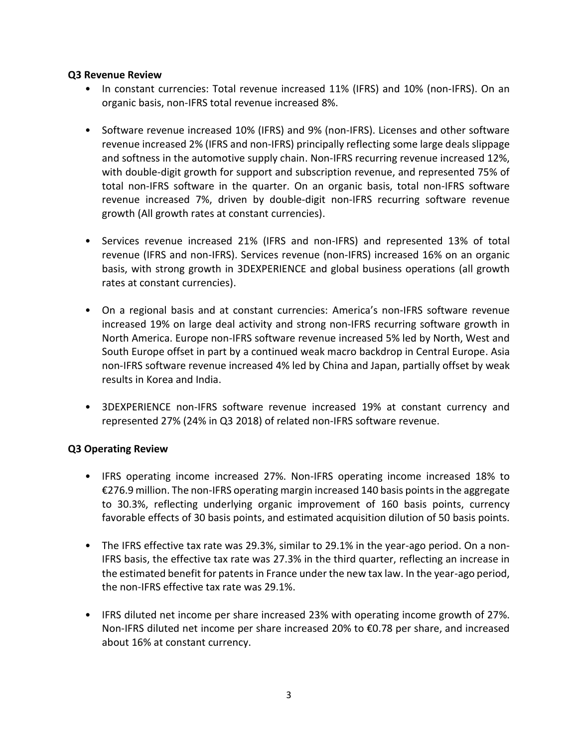# **Q3 Revenue Review**

- In constant currencies: Total revenue increased 11% (IFRS) and 10% (non-IFRS). On an organic basis, non-IFRS total revenue increased 8%.
- Software revenue increased 10% (IFRS) and 9% (non-IFRS). Licenses and other software revenue increased 2% (IFRS and non-IFRS) principally reflecting some large deals slippage and softness in the automotive supply chain. Non-IFRS recurring revenue increased 12%, with double-digit growth for support and subscription revenue, and represented 75% of total non-IFRS software in the quarter. On an organic basis, total non-IFRS software revenue increased 7%, driven by double-digit non-IFRS recurring software revenue growth (All growth rates at constant currencies).
- Services revenue increased 21% (IFRS and non-IFRS) and represented 13% of total revenue (IFRS and non-IFRS). Services revenue (non-IFRS) increased 16% on an organic basis, with strong growth in 3DEXPERIENCE and global business operations (all growth rates at constant currencies).
- On a regional basis and at constant currencies: America's non-IFRS software revenue increased 19% on large deal activity and strong non-IFRS recurring software growth in North America. Europe non-IFRS software revenue increased 5% led by North, West and South Europe offset in part by a continued weak macro backdrop in Central Europe. Asia non-IFRS software revenue increased 4% led by China and Japan, partially offset by weak results in Korea and India.
- 3DEXPERIENCE non-IFRS software revenue increased 19% at constant currency and represented 27% (24% in Q3 2018) of related non-IFRS software revenue.

# **Q3 Operating Review**

- IFRS operating income increased 27%. Non-IFRS operating income increased 18% to €276.9 million. The non-IFRS operating margin increased 140 basis points in the aggregate to 30.3%, reflecting underlying organic improvement of 160 basis points, currency favorable effects of 30 basis points, and estimated acquisition dilution of 50 basis points.
- The IFRS effective tax rate was 29.3%, similar to 29.1% in the year-ago period. On a non-IFRS basis, the effective tax rate was 27.3% in the third quarter, reflecting an increase in the estimated benefit for patents in France under the new tax law. In the year-ago period, the non-IFRS effective tax rate was 29.1%.
- IFRS diluted net income per share increased 23% with operating income growth of 27%. Non-IFRS diluted net income per share increased 20% to €0.78 per share, and increased about 16% at constant currency.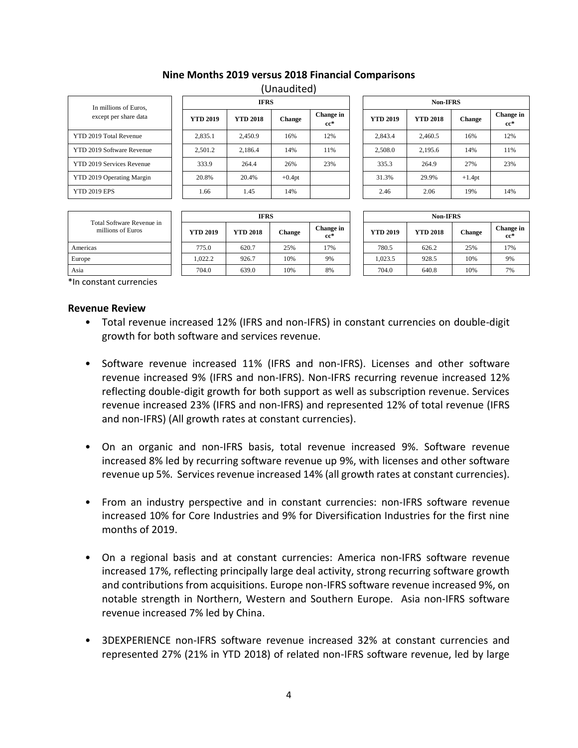# **Nine Months 2019 versus 2018 Financial Comparisons**

(Unaudited)

| In millions of Euros.<br>except per share data |
|------------------------------------------------|
| YTD 2019 Total Revenue                         |
| YTD 2019 Software Revenue                      |
| YTD 2019 Services Revenue                      |
| YTD 2019 Operating Margin                      |
| <b>YTD 2019 EPS</b>                            |

| In millions of Euros,            |  |                 | 11' INJ         |               |                     | INOIF LE IND    |                 |               |                  |  |
|----------------------------------|--|-----------------|-----------------|---------------|---------------------|-----------------|-----------------|---------------|------------------|--|
| except per share data            |  | <b>YTD 2019</b> | <b>YTD 2018</b> | <b>Change</b> | Change in<br>$cc^*$ | <b>YTD 2019</b> | <b>YTD 2018</b> | <b>Change</b> | Change<br>$cc^*$ |  |
| <b>YTD 2019 Total Revenue</b>    |  | 2,835.1         | 2,450.9         | 16%           | 12%                 | 2.843.4         | 2,460.5         | 16%           | 12%              |  |
| <b>YTD 2019 Software Revenue</b> |  | 2,501.2         | 2,186.4         | 14%           | 11%                 | 2,508.0         | 2,195.6         | 14%           | 11%              |  |
| <b>YTD 2019 Services Revenue</b> |  | 333.9           | 264.4           | 26%           | 23%                 | 335.3           | 264.9           | 27%           | 23%              |  |
| YTD 2019 Operating Margin        |  | 20.8%           | 20.4%           | $+0.4pt$      |                     | 31.3%           | 29.9%           | $+1.4pt$      |                  |  |
| <b>YTD 2019 EPS</b>              |  | 1.66            | 1.45            | 14%           |                     | 2.46            | 2.06            | 19%           | 14%              |  |

| <b>IFRS</b> |               |                     |  | <b>Non-IFRS</b> |                 |               |                     |  |  |
|-------------|---------------|---------------------|--|-----------------|-----------------|---------------|---------------------|--|--|
| l8          | <b>Change</b> | Change in<br>$cc^*$ |  | <b>YTD 2019</b> | <b>YTD 2018</b> | <b>Change</b> | Change in<br>$cc^*$ |  |  |
|             | 16%           | 12%                 |  | 2,843.4         | 2,460.5         | 16%           | 12%                 |  |  |
|             | 14%           | 11%                 |  | 2,508.0         | 2,195.6         | 14%           | 11%                 |  |  |
|             | 26%           | 23%                 |  | 335.3           | 264.9           | 27%           | 23%                 |  |  |
|             | $+0.4pt$      |                     |  | 31.3%           | 29.9%           | $+1.4pt$      |                     |  |  |
|             | 14%           |                     |  | 2.46            | 2.06            | 19%           | 14%                 |  |  |

| Total Software Revenue in<br>millions of Euros | <b>IFRS</b>     |                 |        |                     |  | <b>Non-IFRS</b> |                 |        |                  |  |
|------------------------------------------------|-----------------|-----------------|--------|---------------------|--|-----------------|-----------------|--------|------------------|--|
|                                                | <b>YTD 2019</b> | <b>YTD 2018</b> | Change | Change in<br>$cc^*$ |  | <b>YTD 2019</b> | <b>YTD 2018</b> | Change | Change<br>$cc^*$ |  |
| Americas                                       | 775.0           | 620.7           | 25%    | 17%                 |  | 780.5           | 626.2           | 25%    | 17%              |  |
| Europe                                         | 1.022.2         | 926.7           | 10%    | 9%                  |  | 1.023.5         | 928.5           | 10%    | 9%               |  |
| Asia                                           | 704.0           | 639.0           | 10%    | 8%                  |  | 704.0           | 640.8           | 10%    | 7%               |  |

|                |                 | <b>Non-IFRS</b> |               |                     |  |  |  |  |  |  |
|----------------|-----------------|-----------------|---------------|---------------------|--|--|--|--|--|--|
| ange in<br>cc* | <b>YTD 2019</b> | <b>YTD 2018</b> | <b>Change</b> | Change in<br>$cc^*$ |  |  |  |  |  |  |
| 17%            | 780.5           | 626.2           | 25%           | 17%                 |  |  |  |  |  |  |
| 9%             | 1,023.5         | 928.5           | 10%           | 9%                  |  |  |  |  |  |  |
| 8%             | 704.0           | 640.8           | 10%           | 7%                  |  |  |  |  |  |  |

\*In constant currencies

### **Revenue Review**

- Total revenue increased 12% (IFRS and non-IFRS) in constant currencies on double-digit growth for both software and services revenue.
- Software revenue increased 11% (IFRS and non-IFRS). Licenses and other software revenue increased 9% (IFRS and non-IFRS). Non-IFRS recurring revenue increased 12% reflecting double-digit growth for both support as well as subscription revenue. Services revenue increased 23% (IFRS and non-IFRS) and represented 12% of total revenue (IFRS and non-IFRS) (All growth rates at constant currencies).
- On an organic and non-IFRS basis, total revenue increased 9%. Software revenue increased 8% led by recurring software revenue up 9%, with licenses and other software revenue up 5%. Services revenue increased 14% (all growth rates at constant currencies).
- From an industry perspective and in constant currencies: non-IFRS software revenue increased 10% for Core Industries and 9% for Diversification Industries for the first nine months of 2019.
- On a regional basis and at constant currencies: America non-IFRS software revenue increased 17%, reflecting principally large deal activity, strong recurring software growth and contributions from acquisitions. Europe non-IFRS software revenue increased 9%, on notable strength in Northern, Western and Southern Europe. Asia non-IFRS software revenue increased 7% led by China.
- 3DEXPERIENCE non-IFRS software revenue increased 32% at constant currencies and represented 27% (21% in YTD 2018) of related non-IFRS software revenue, led by large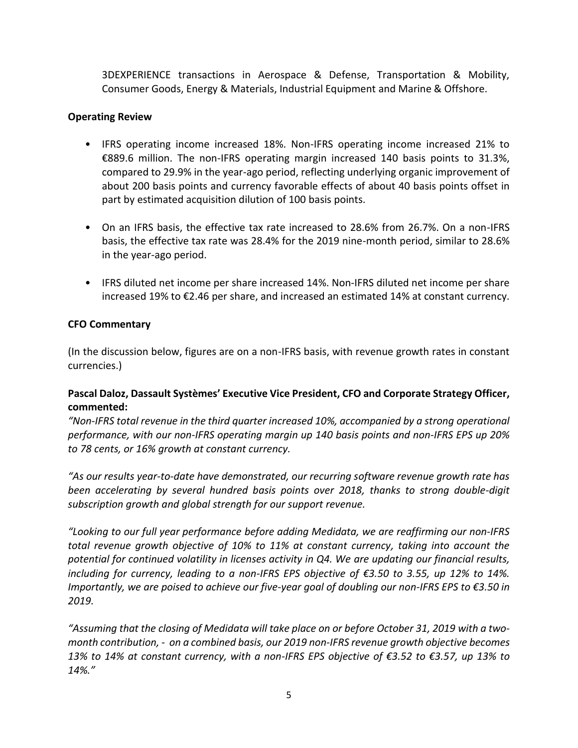3DEXPERIENCE transactions in Aerospace & Defense, Transportation & Mobility, Consumer Goods, Energy & Materials, Industrial Equipment and Marine & Offshore.

# **Operating Review**

- IFRS operating income increased 18%. Non-IFRS operating income increased 21% to €889.6 million. The non-IFRS operating margin increased 140 basis points to 31.3%, compared to 29.9% in the year-ago period, reflecting underlying organic improvement of about 200 basis points and currency favorable effects of about 40 basis points offset in part by estimated acquisition dilution of 100 basis points.
- On an IFRS basis, the effective tax rate increased to 28.6% from 26.7%. On a non-IFRS basis, the effective tax rate was 28.4% for the 2019 nine-month period, similar to 28.6% in the year-ago period.
- IFRS diluted net income per share increased 14%. Non-IFRS diluted net income per share increased 19% to €2.46 per share, and increased an estimated 14% at constant currency.

# **CFO Commentary**

(In the discussion below, figures are on a non-IFRS basis, with revenue growth rates in constant currencies.)

# **Pascal Daloz, Dassault Systèmes' Executive Vice President, CFO and Corporate Strategy Officer, commented:**

*"Non-IFRS total revenue in the third quarter increased 10%, accompanied by a strong operational performance, with our non-IFRS operating margin up 140 basis points and non-IFRS EPS up 20% to 78 cents, or 16% growth at constant currency.* 

*"As our results year-to-date have demonstrated, our recurring software revenue growth rate has been accelerating by several hundred basis points over 2018, thanks to strong double-digit subscription growth and global strength for our support revenue.* 

*"Looking to our full year performance before adding Medidata, we are reaffirming our non-IFRS total revenue growth objective of 10% to 11% at constant currency, taking into account the potential for continued volatility in licenses activity in Q4. We are updating our financial results, including for currency, leading to a non-IFRS EPS objective of €3.50 to 3.55, up 12% to 14%. Importantly, we are poised to achieve our five-year goal of doubling our non-IFRS EPS to €3.50 in 2019.*

*"Assuming that the closing of Medidata will take place on or before October 31, 2019 with a twomonth contribution, - on a combined basis, our 2019 non-IFRS revenue growth objective becomes 13% to 14% at constant currency, with a non-IFRS EPS objective of €3.52 to €3.57, up 13% to 14%."*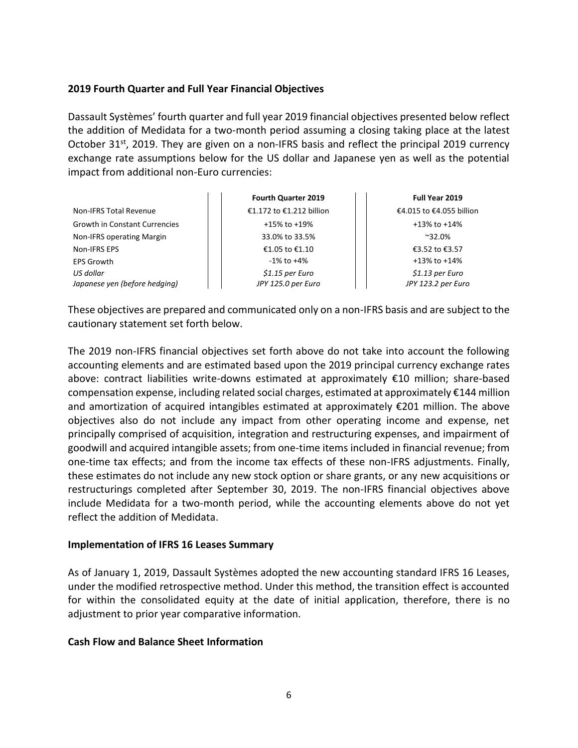# **2019 Fourth Quarter and Full Year Financial Objectives**

Dassault Systèmes' fourth quarter and full year 2019 financial objectives presented below reflect the addition of Medidata for a two-month period assuming a closing taking place at the latest October 31<sup>st</sup>, 2019. They are given on a non-IFRS basis and reflect the principal 2019 currency exchange rate assumptions below for the US dollar and Japanese yen as well as the potential impact from additional non-Euro currencies:

|                                      | <b>Fourth Quarter 2019</b> | Full Year 2019           |  |  |  |
|--------------------------------------|----------------------------|--------------------------|--|--|--|
| <b>Non-IFRS Total Revenue</b>        | €1.172 to €1.212 billion   | €4.015 to €4.055 billion |  |  |  |
| <b>Growth in Constant Currencies</b> | $+15\%$ to $+19\%$         | $+13\%$ to $+14\%$       |  |  |  |
| Non-IFRS operating Margin            | 33.0% to 33.5%             | $~^{\sim}32.0\%$         |  |  |  |
| Non-IFRS EPS                         | €1.05 to €1.10             | €3.52 to €3.57           |  |  |  |
| EPS Growth                           | $-1\%$ to $+4\%$           | $+13\%$ to $+14\%$       |  |  |  |
| US dollar                            | $$1.15$ per Euro           | $$1.13$ per Euro         |  |  |  |
| Japanese yen (before hedging)        | JPY 125.0 per Euro         | JPY 123.2 per Euro       |  |  |  |

These objectives are prepared and communicated only on a non-IFRS basis and are subject to the cautionary statement set forth below.

The 2019 non-IFRS financial objectives set forth above do not take into account the following accounting elements and are estimated based upon the 2019 principal currency exchange rates above: contract liabilities write-downs estimated at approximately €10 million; share-based compensation expense, including related social charges, estimated at approximately €144 million and amortization of acquired intangibles estimated at approximately €201 million. The above objectives also do not include any impact from other operating income and expense, net principally comprised of acquisition, integration and restructuring expenses, and impairment of goodwill and acquired intangible assets; from one-time items included in financial revenue; from one-time tax effects; and from the income tax effects of these non-IFRS adjustments. Finally, these estimates do not include any new stock option or share grants, or any new acquisitions or restructurings completed after September 30, 2019. The non-IFRS financial objectives above include Medidata for a two-month period, while the accounting elements above do not yet reflect the addition of Medidata.

## **Implementation of IFRS 16 Leases Summary**

As of January 1, 2019, Dassault Systèmes adopted the new accounting standard IFRS 16 Leases, under the modified retrospective method. Under this method, the transition effect is accounted for within the consolidated equity at the date of initial application, therefore, there is no adjustment to prior year comparative information.

## **Cash Flow and Balance Sheet Information**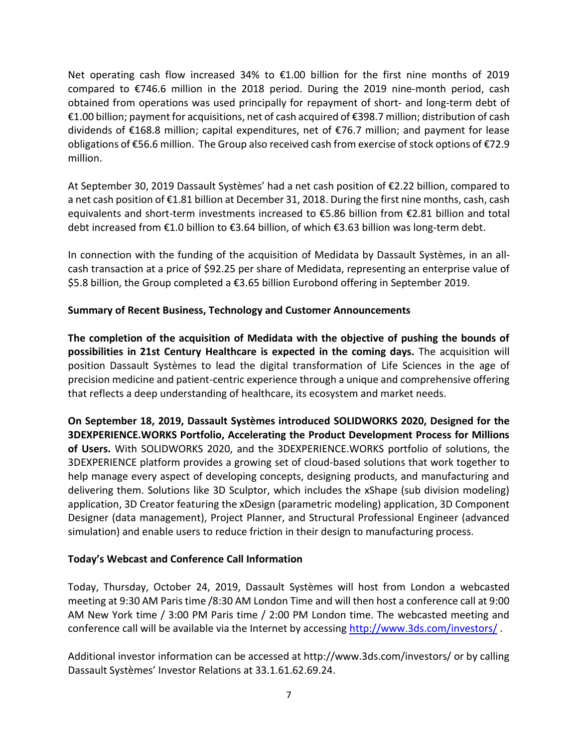Net operating cash flow increased 34% to €1.00 billion for the first nine months of 2019 compared to €746.6 million in the 2018 period. During the 2019 nine-month period, cash obtained from operations was used principally for repayment of short- and long-term debt of €1.00 billion; payment for acquisitions, net of cash acquired of €398.7 million; distribution of cash dividends of €168.8 million; capital expenditures, net of €76.7 million; and payment for lease obligations of €56.6 million. The Group also received cash from exercise of stock options of €72.9 million.

At September 30, 2019 Dassault Systèmes' had a net cash position of €2.22 billion, compared to a net cash position of €1.81 billion at December 31, 2018. During the first nine months, cash, cash equivalents and short-term investments increased to €5.86 billion from €2.81 billion and total debt increased from €1.0 billion to €3.64 billion, of which €3.63 billion was long-term debt.

In connection with the funding of the acquisition of Medidata by Dassault Systèmes, in an allcash transaction at a price of \$92.25 per share of Medidata, representing an enterprise value of \$5.8 billion, the Group completed a €3.65 billion Eurobond offering in September 2019.

# **Summary of Recent Business, Technology and Customer Announcements**

**The completion of the acquisition of Medidata with the objective of pushing the bounds of possibilities in 21st Century Healthcare is expected in the coming days.** The acquisition will position Dassault Systèmes to lead the digital transformation of Life Sciences in the age of precision medicine and patient-centric experience through a unique and comprehensive offering that reflects a deep understanding of healthcare, its ecosystem and market needs.

**On September 18, 2019, Dassault Systèmes introduced SOLIDWORKS 2020, Designed for the 3DEXPERIENCE.WORKS Portfolio, Accelerating the Product Development Process for Millions of Users.** With SOLIDWORKS 2020, and the 3DEXPERIENCE.WORKS portfolio of solutions, the 3DEXPERIENCE platform provides a growing set of cloud-based solutions that work together to help manage every aspect of developing concepts, designing products, and manufacturing and delivering them. Solutions like 3D Sculptor, which includes the xShape (sub division modeling) application, 3D Creator featuring the xDesign (parametric modeling) application, 3D Component Designer (data management), Project Planner, and Structural Professional Engineer (advanced simulation) and enable users to reduce friction in their design to manufacturing process.

# **Today's Webcast and Conference Call Information**

Today, Thursday, October 24, 2019, Dassault Systèmes will host from London a webcasted meeting at 9:30 AM Paristime /8:30 AM London Time and will then host a conference call at 9:00 AM New York time / 3:00 PM Paris time / 2:00 PM London time. The webcasted meeting and conference call will be available via the Internet by accessing<http://www.3ds.com/investors/> .

Additional investor information can be accessed at http://www.3ds.com/investors/ or by calling Dassault Systèmes' Investor Relations at 33.1.61.62.69.24.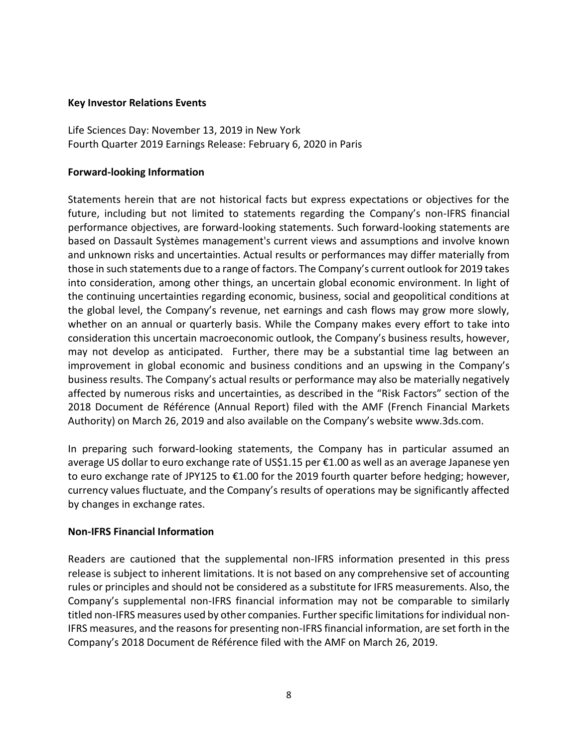### **Key Investor Relations Events**

Life Sciences Day: November 13, 2019 in New York Fourth Quarter 2019 Earnings Release: February 6, 2020 in Paris

# **Forward-looking Information**

Statements herein that are not historical facts but express expectations or objectives for the future, including but not limited to statements regarding the Company's non-IFRS financial performance objectives, are forward-looking statements. Such forward-looking statements are based on Dassault Systèmes management's current views and assumptions and involve known and unknown risks and uncertainties. Actual results or performances may differ materially from those in such statements due to a range of factors. The Company's current outlook for 2019 takes into consideration, among other things, an uncertain global economic environment. In light of the continuing uncertainties regarding economic, business, social and geopolitical conditions at the global level, the Company's revenue, net earnings and cash flows may grow more slowly, whether on an annual or quarterly basis. While the Company makes every effort to take into consideration this uncertain macroeconomic outlook, the Company's business results, however, may not develop as anticipated. Further, there may be a substantial time lag between an improvement in global economic and business conditions and an upswing in the Company's business results. The Company's actual results or performance may also be materially negatively affected by numerous risks and uncertainties, as described in the "Risk Factors" section of the 2018 Document de Référence (Annual Report) filed with the AMF (French Financial Markets Authority) on March 26, 2019 and also available on the Company's website www.3ds.com.

In preparing such forward-looking statements, the Company has in particular assumed an average US dollar to euro exchange rate of US\$1.15 per €1.00 as well as an average Japanese yen to euro exchange rate of JPY125 to €1.00 for the 2019 fourth quarter before hedging; however, currency values fluctuate, and the Company's results of operations may be significantly affected by changes in exchange rates.

## **Non-IFRS Financial Information**

Readers are cautioned that the supplemental non-IFRS information presented in this press release is subject to inherent limitations. It is not based on any comprehensive set of accounting rules or principles and should not be considered as a substitute for IFRS measurements. Also, the Company's supplemental non-IFRS financial information may not be comparable to similarly titled non-IFRS measures used by other companies. Further specific limitations for individual non-IFRS measures, and the reasons for presenting non-IFRS financial information, are set forth in the Company's 2018 Document de Référence filed with the AMF on March 26, 2019.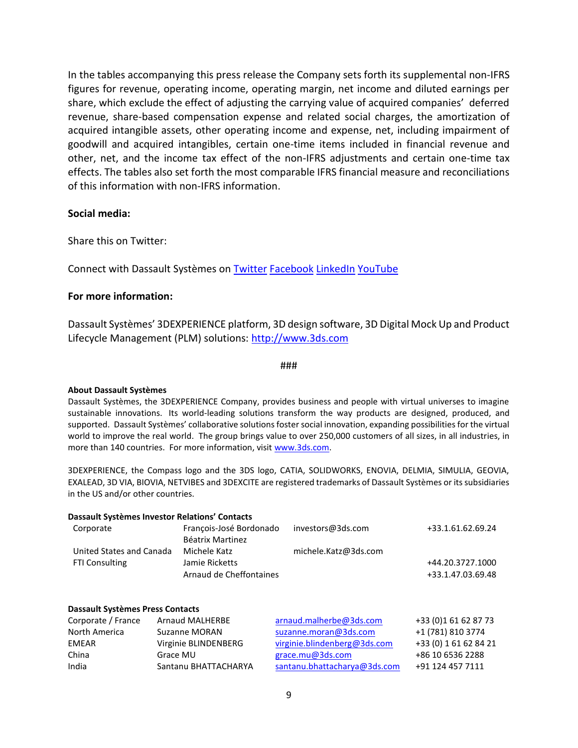In the tables accompanying this press release the Company sets forth its supplemental non-IFRS figures for revenue, operating income, operating margin, net income and diluted earnings per share, which exclude the effect of adjusting the carrying value of acquired companies' deferred revenue, share-based compensation expense and related social charges, the amortization of acquired intangible assets, other operating income and expense, net, including impairment of goodwill and acquired intangibles, certain one-time items included in financial revenue and other, net, and the income tax effect of the non-IFRS adjustments and certain one-time tax effects. The tables also set forth the most comparable IFRS financial measure and reconciliations of this information with non-IFRS information.

### **Social media:**

Share this on Twitter:

Connect with Dassault Systèmes on [Twitter](https://twitter.com/Dassault3DS) [Facebook](https://www.facebook.com/DassaultSystemes) [LinkedIn](https://www.linkedin.com/company/dassaultsystemes) [YouTube](https://www.youtube.com/DassaultSystemes)

### **For more information:**

Dassault Systèmes' 3DEXPERIENCE platform, 3D design software, 3D Digital Mock Up and Product Lifecycle Management (PLM) solutions: [http://www.3ds.com](http://www.3ds.com/)

#### ###

#### **About Dassault Systèmes**

Dassault Systèmes, the 3DEXPERIENCE Company, provides business and people with virtual universes to imagine sustainable innovations. Its world-leading solutions transform the way products are designed, produced, and supported. Dassault Systèmes' collaborative solutions foster social innovation, expanding possibilities for the virtual world to improve the real world. The group brings value to over 250,000 customers of all sizes, in all industries, in more than 140 countries. For more information, visi[t www.3ds.com.](http://www.3ds.com/)

3DEXPERIENCE, the Compass logo and the 3DS logo, CATIA, SOLIDWORKS, ENOVIA, DELMIA, SIMULIA, GEOVIA, EXALEAD, 3D VIA, BIOVIA, NETVIBES and 3DEXCITE are registered trademarks of Dassault Systèmes or its subsidiaries in the US and/or other countries.

|                                         | Dassault Systèmes Investor Relations' Contacts     |                              |                       |
|-----------------------------------------|----------------------------------------------------|------------------------------|-----------------------|
| Corporate                               | François-José Bordonado<br><b>Béatrix Martinez</b> | investors@3ds.com            | +33.1.61.62.69.24     |
| United States and Canada                | Michele Katz                                       | michele.Katz@3ds.com         |                       |
| <b>FTI Consulting</b>                   | Jamie Ricketts                                     |                              | +44.20.3727.1000      |
|                                         | Arnaud de Cheffontaines                            |                              | +33.1.47.03.69.48     |
| <b>Dassault Systèmes Press Contacts</b> |                                                    |                              |                       |
| Corporate / France                      | <b>Arnaud MALHERBE</b>                             | arnaud.malherbe@3ds.com      | +33 (0)1 61 62 87 73  |
| North America                           | Suzanne MORAN                                      | suzanne.moran@3ds.com        | +1 (781) 810 3774     |
| <b>EMEAR</b>                            | Virginie BLINDENBERG                               | virginie.blindenberg@3ds.com | +33 (0) 1 61 62 84 21 |
| China                                   | Grace MU                                           | grace.mu@3ds.com             | +86 10 6536 2288      |

India Santanu BHATTACHARYA [santanu.bhattacharya@3ds.com](mailto:santanu.bhattacharya@3ds.com) +91 124 457 7111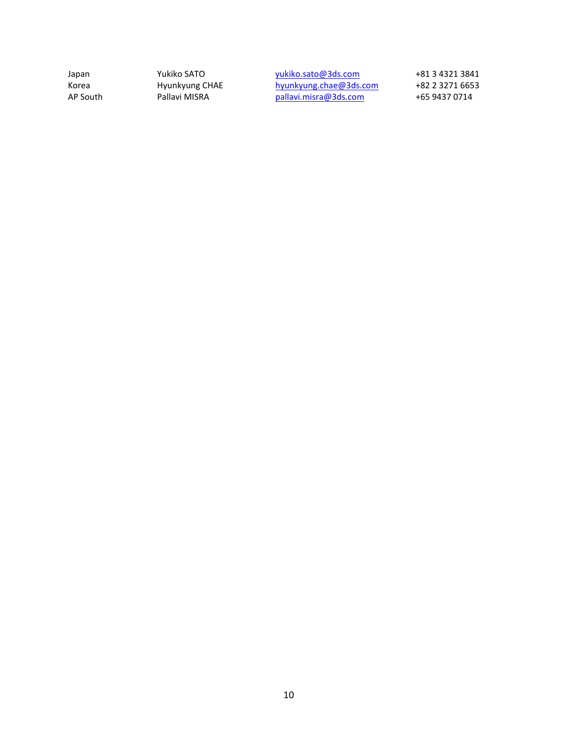Japan Yukiko SATO <u>[yukiko.sato@3ds.com](mailto:yukiko.sato@3ds.com)</u> +81 3 4321 3841 Korea Hyunkyung CHAE [hyunkyung.chae@3ds.com](mailto:Hyunkyung.CHAE@3ds.com) +82 2 3271 6653 AP South Pallavi MISRA [pallavi.misra@3ds.com](mailto:pallavi.misra@3ds.com) +65 9437 0714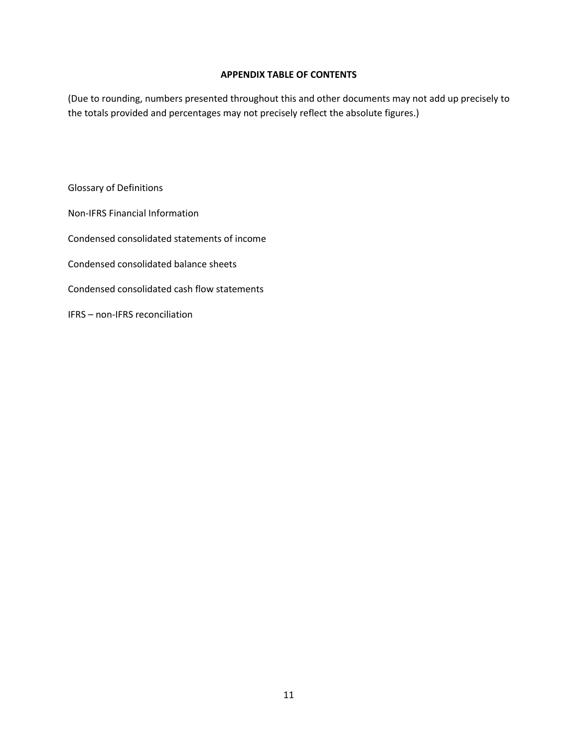### **APPENDIX TABLE OF CONTENTS**

(Due to rounding, numbers presented throughout this and other documents may not add up precisely to the totals provided and percentages may not precisely reflect the absolute figures.)

Glossary of Definitions Non-IFRS Financial Information Condensed consolidated statements of income Condensed consolidated balance sheets Condensed consolidated cash flow statements IFRS – non-IFRS reconciliation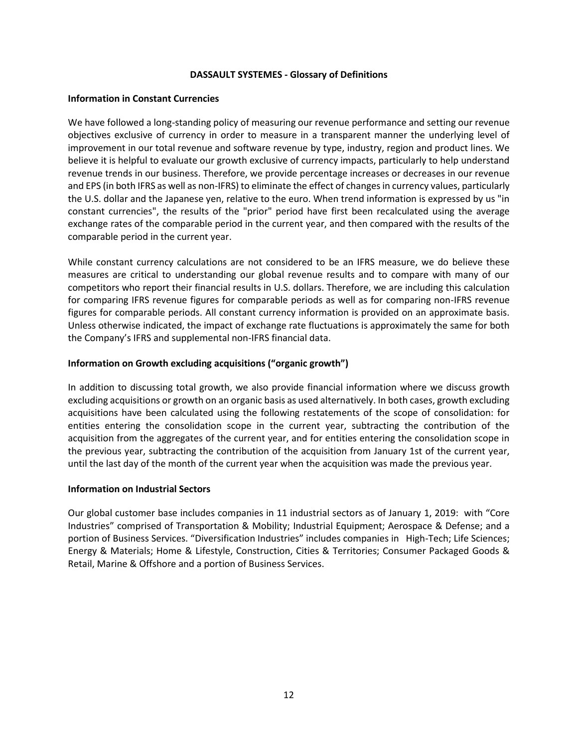### **DASSAULT SYSTEMES - Glossary of Definitions**

### **Information in Constant Currencies**

We have followed a long-standing policy of measuring our revenue performance and setting our revenue objectives exclusive of currency in order to measure in a transparent manner the underlying level of improvement in our total revenue and software revenue by type, industry, region and product lines. We believe it is helpful to evaluate our growth exclusive of currency impacts, particularly to help understand revenue trends in our business. Therefore, we provide percentage increases or decreases in our revenue and EPS (in both IFRS as well as non-IFRS) to eliminate the effect of changes in currency values, particularly the U.S. dollar and the Japanese yen, relative to the euro. When trend information is expressed by us "in constant currencies", the results of the "prior" period have first been recalculated using the average exchange rates of the comparable period in the current year, and then compared with the results of the comparable period in the current year.

While constant currency calculations are not considered to be an IFRS measure, we do believe these measures are critical to understanding our global revenue results and to compare with many of our competitors who report their financial results in U.S. dollars. Therefore, we are including this calculation for comparing IFRS revenue figures for comparable periods as well as for comparing non-IFRS revenue figures for comparable periods. All constant currency information is provided on an approximate basis. Unless otherwise indicated, the impact of exchange rate fluctuations is approximately the same for both the Company's IFRS and supplemental non-IFRS financial data.

### **Information on Growth excluding acquisitions ("organic growth")**

In addition to discussing total growth, we also provide financial information where we discuss growth excluding acquisitions or growth on an organic basis as used alternatively. In both cases, growth excluding acquisitions have been calculated using the following restatements of the scope of consolidation: for entities entering the consolidation scope in the current year, subtracting the contribution of the acquisition from the aggregates of the current year, and for entities entering the consolidation scope in the previous year, subtracting the contribution of the acquisition from January 1st of the current year, until the last day of the month of the current year when the acquisition was made the previous year.

### **Information on Industrial Sectors**

Our global customer base includes companies in 11 industrial sectors as of January 1, 2019: with "Core Industries" comprised of Transportation & Mobility; Industrial Equipment; Aerospace & Defense; and a portion of Business Services. "Diversification Industries" includes companies in High-Tech; Life Sciences; Energy & Materials; Home & Lifestyle, Construction, Cities & Territories; Consumer Packaged Goods & Retail, Marine & Offshore and a portion of Business Services.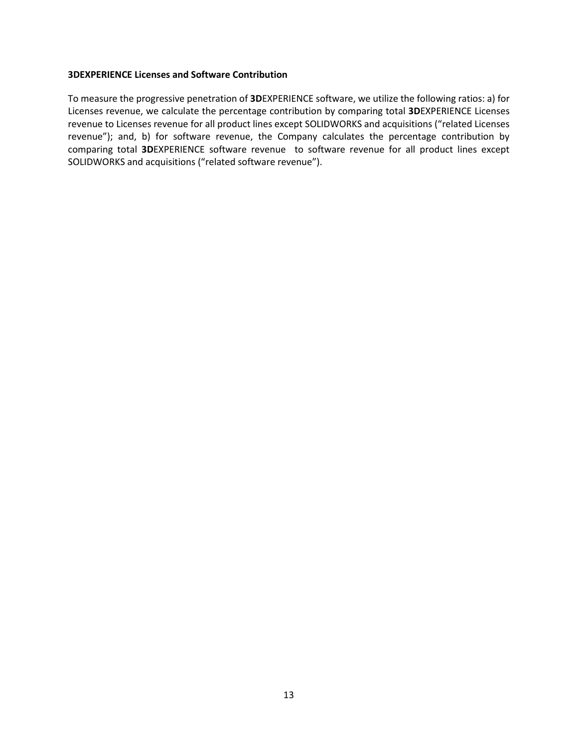### **3DEXPERIENCE Licenses and Software Contribution**

To measure the progressive penetration of **3D**EXPERIENCE software, we utilize the following ratios: a) for Licenses revenue, we calculate the percentage contribution by comparing total **3D**EXPERIENCE Licenses revenue to Licenses revenue for all product lines except SOLIDWORKS and acquisitions ("related Licenses revenue"); and, b) for software revenue, the Company calculates the percentage contribution by comparing total **3D**EXPERIENCE software revenue to software revenue for all product lines except SOLIDWORKS and acquisitions ("related software revenue").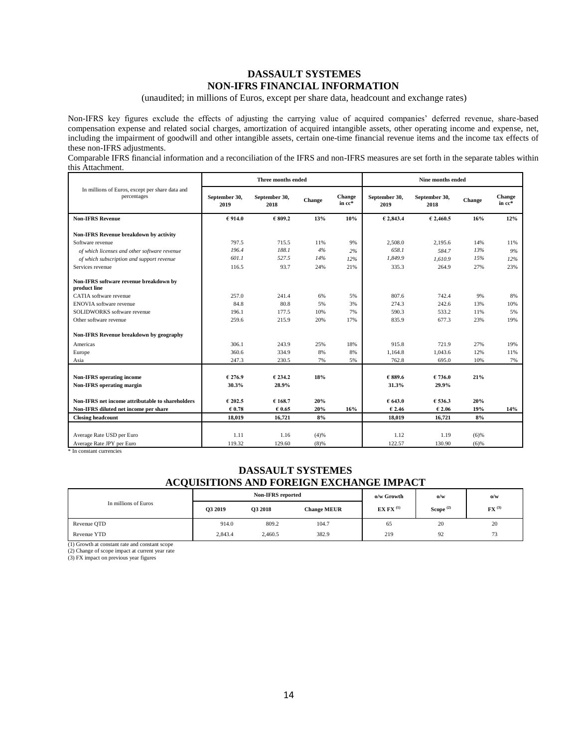### **DASSAULT SYSTEMES NON-IFRS FINANCIAL INFORMATION**

(unaudited; in millions of Euros, except per share data, headcount and exchange rates)

Non-IFRS key figures exclude the effects of adjusting the carrying value of acquired companies' deferred revenue, share-based compensation expense and related social charges, amortization of acquired intangible assets, other operating income and expense, net, including the impairment of goodwill and other intangible assets, certain one-time financial revenue items and the income tax effects of these non-IFRS adjustments.

Comparable IFRS financial information and a reconciliation of the IFRS and non-IFRS measures are set forth in the separate tables within this Attachment.

|                                                                |                       | Three months ended    |        |                  | <b>Nine months ended</b> |                       |         |                  |
|----------------------------------------------------------------|-----------------------|-----------------------|--------|------------------|--------------------------|-----------------------|---------|------------------|
| In millions of Euros, except per share data and<br>percentages | September 30,<br>2019 | September 30,<br>2018 | Change | Change<br>in cc* | September 30,<br>2019    | September 30,<br>2018 | Change  | Change<br>in cc* |
| <b>Non-IFRS Revenue</b>                                        | €914.0                | € 809.2               | 13%    | 10%              | € 2,843.4                | € 2,460.5             | 16%     | 12%              |
| Non-IFRS Revenue breakdown by activity                         |                       |                       |        |                  |                          |                       |         |                  |
| Software revenue                                               | 797.5                 | 715.5                 | 11%    | 9%               | 2,508.0                  | 2,195.6               | 14%     | 11%              |
| of which licenses and other software revenue                   | 196.4                 | 188.1                 | 4%     | 2%               | 658.1                    | 584.7                 | 13%     | 9%               |
| of which subscription and support revenue                      | 601.1                 | 527.5                 | 14%    | 12%              | 1.849.9                  | 1.610.9               | 15%     | 12%              |
| Services revenue                                               | 116.5                 | 93.7                  | 24%    | 21%              | 335.3                    | 264.9                 | 27%     | 23%              |
| Non-IFRS software revenue breakdown by<br>product line         |                       |                       |        |                  |                          |                       |         |                  |
| CATIA software revenue                                         | 257.0                 | 241.4                 | 6%     | 5%               | 807.6                    | 742.4                 | 9%      | 8%               |
| <b>ENOVIA</b> software revenue                                 | 84.8                  | 80.8                  | 5%     | 3%               | 274.3                    | 242.6                 | 13%     | 10%              |
| SOLIDWORKS software revenue                                    | 196.1                 | 177.5                 | 10%    | 7%               | 590.3                    | 533.2                 | 11%     | 5%               |
| Other software revenue                                         | 259.6                 | 215.9                 | 20%    | 17%              | 835.9                    | 677.3                 | 23%     | 19%              |
| Non-IFRS Revenue breakdown by geography                        |                       |                       |        |                  |                          |                       |         |                  |
| Americas                                                       | 306.1                 | 243.9                 | 25%    | 18%              | 915.8                    | 721.9                 | 27%     | 19%              |
| Europe                                                         | 360.6                 | 334.9                 | 8%     | 8%               | 1.164.8                  | 1.043.6               | 12%     | 11%              |
| Asia                                                           | 247.3                 | 230.5                 | 7%     | 5%               | 762.8                    | 695.0                 | 10%     | 7%               |
| <b>Non-IFRS</b> operating income                               | € 276.9               | € 234.2               | 18%    |                  | € 889.6                  | 6736.0                | 21%     |                  |
| Non-IFRS operating margin                                      | 30.3%                 | 28.9%                 |        |                  | 31.3%                    | 29.9%                 |         |                  |
|                                                                |                       |                       |        |                  |                          |                       |         |                  |
| Non-IFRS net income attributable to shareholders               | € 202.5               | € 168.7               | 20%    |                  | € 643.0                  | € 536.3               | 20%     |                  |
| Non-IFRS diluted net income per share                          | € 0.78                | € 0.65                | 20%    | 16%              | € 2.46                   | € 2.06                | 19%     | 14%              |
| <b>Closing headcount</b>                                       | 18.019                | 16,721                | 8%     |                  | 18,019                   | 16,721                | 8%      |                  |
|                                                                |                       |                       |        |                  |                          |                       |         |                  |
| Average Rate USD per Euro                                      | 1.11                  | 1.16                  | (4)%   |                  | 1.12                     | 1.19<br>130.90        | $(6)$ % |                  |
| Average Rate JPY per Euro                                      | 119.32                | 129.60                | (8)%   |                  | 122.57                   |                       | (6)%    |                  |

\* In constant currencies

### **DASSAULT SYSTEMES ACQUISITIONS AND FOREIGN EXCHANGE IMPACT**

|                      |         | <b>Non-IFRS</b> reported |                    | o/w Growth     | $\omega/w$     | $\omega/w$          |  |
|----------------------|---------|--------------------------|--------------------|----------------|----------------|---------------------|--|
| In millions of Euros | O3 2019 | <b>Q3 2018</b>           | <b>Change MEUR</b> | EX FX $^{(1)}$ | Scope $^{(2)}$ | $FX$ <sup>(3)</sup> |  |
| Revenue OTD          | 914.0   | 809.2                    | 104.7              | 65             | 20             | 20                  |  |
| Revenue YTD          | 2,843.4 | 2,460.5                  | 382.9              | 219            | 92             | 73                  |  |

(1) Growth at constant rate and constant scope

(2) Change of scope impact at current year rate

(3) FX impact on previous year figures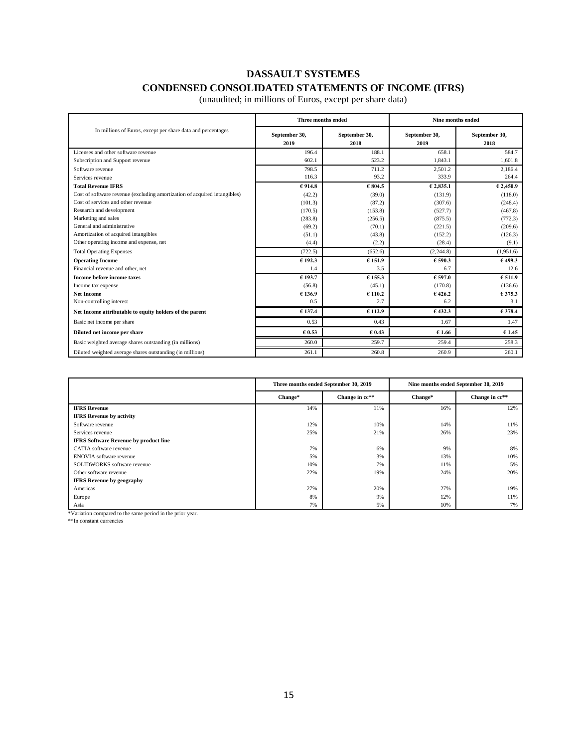# **DASSAULT SYSTEMES CONDENSED CONSOLIDATED STATEMENTS OF INCOME (IFRS)**

|                                                                           | Three months ended    |                       | Nine months ended     |                       |  |
|---------------------------------------------------------------------------|-----------------------|-----------------------|-----------------------|-----------------------|--|
| In millions of Euros, except per share data and percentages               | September 30,<br>2019 | September 30,<br>2018 | September 30,<br>2019 | September 30,<br>2018 |  |
| Licenses and other software revenue                                       | 196.4                 | 188.1                 | 658.1                 | 584.7                 |  |
| Subscription and Support revenue                                          | 602.1                 | 523.2                 | 1.843.1               | 1,601.8               |  |
| Software revenue                                                          | 798.5                 | 711.2                 | 2,501.2               | 2,186.4               |  |
| Services revenue                                                          | 116.3                 | 93.2                  | 333.9                 | 264.4                 |  |
| <b>Total Revenue IFRS</b>                                                 | €914.8                | €804.5                | € 2,835.1             | €2,450.9              |  |
| Cost of software revenue (excluding amortization of acquired intangibles) | (42.2)                | (39.0)                | (131.9)               | (118.0)               |  |
| Cost of services and other revenue                                        | (101.3)               | (87.2)                | (307.6)               | (248.4)               |  |
| Research and development                                                  | (170.5)               | (153.8)               | (527.7)               | (467.8)               |  |
| Marketing and sales                                                       | (283.8)               | (256.5)               | (875.5)               | (772.3)               |  |
| General and administrative                                                | (69.2)                | (70.1)                | (221.5)               | (209.6)               |  |
| Amortization of acquired intangibles                                      | (51.1)                | (43.8)                | (152.2)               | (126.3)               |  |
| Other operating income and expense, net                                   | (4.4)                 | (2.2)                 | (28.4)                | (9.1)                 |  |
| <b>Total Operating Expenses</b>                                           | (722.5)               | (652.6)               | (2, 244.8)            | (1,951.6)             |  |
| <b>Operating Income</b>                                                   | € 192.3               | € 151.9               | € 590.3               | €499.3                |  |
| Financial revenue and other, net                                          | 1.4                   | 3.5                   | 6.7                   | 12.6                  |  |
| Income before income taxes                                                | € 193.7               | € 155.3               | €597.0                | €511.9                |  |
| Income tax expense                                                        | (56.8)                | (45.1)                | (170.8)               | (136.6)               |  |
| <b>Net Income</b>                                                         | €136.9                | € 110.2               | €426.2                | € 375.3               |  |
| Non-controlling interest                                                  | 0.5                   | 2.7                   | 6.2                   | 3.1                   |  |
| Net Income attributable to equity holders of the parent                   | € 137.4               | € 112.9               | €432.3                | € 378.4               |  |
| Basic net income per share                                                | 0.53                  | 0.43                  | 1.67                  | 1.47                  |  |
| Diluted net income per share                                              | € 0.53                | € 0.43                | € 1.66                | €1.45                 |  |
| Basic weighted average shares outstanding (in millions)                   | 260.0                 | 259.7                 | 259.4                 | 258.3                 |  |
| Diluted weighted average shares outstanding (in millions)                 | 261.1                 | 260.8                 | 260.9                 | 260.1                 |  |

(unaudited; in millions of Euros, except per share data)

|                                              | Three months ended September 30, 2019 |                | Nine months ended September 30, 2019 |                |  |
|----------------------------------------------|---------------------------------------|----------------|--------------------------------------|----------------|--|
|                                              | Change*                               | Change in cc** | Change*                              | Change in cc** |  |
| <b>IFRS Revenue</b>                          | 14%                                   | 11%            | 16%                                  | 12%            |  |
| <b>IFRS</b> Revenue by activity              |                                       |                |                                      |                |  |
| Software revenue                             | 12%                                   | 10%            | 14%                                  | 11%            |  |
| Services revenue                             | 25%                                   | 21%            | 26%                                  | 23%            |  |
| <b>IFRS Software Revenue by product line</b> |                                       |                |                                      |                |  |
| CATIA software revenue                       | 7%                                    | 6%             | 9%                                   | 8%             |  |
| <b>ENOVIA</b> software revenue               | 5%                                    | 3%             | 13%                                  | 10%            |  |
| SOLIDWORKS software revenue                  | 10%                                   | 7%             | 11%                                  | 5%             |  |
| Other software revenue                       | 22%                                   | 19%            | 24%                                  | 20%            |  |
| <b>IFRS</b> Revenue by geography             |                                       |                |                                      |                |  |
| Americas                                     | 27%                                   | 20%            | 27%                                  | 19%            |  |
| Europe                                       | 8%                                    | 9%             | 12%                                  | 11%            |  |
| Asia<br>$1.999$ $1.999$<br>$\sim$ $\sim$     | 7%                                    | 5%             | 10%                                  | 7%             |  |

\*Variation compared to the same period in the prior year.

\*\*In constant currencies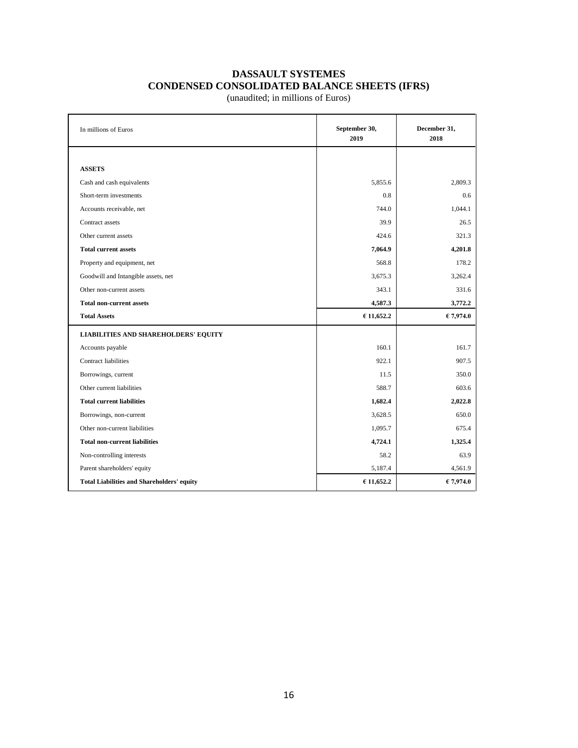# **DASSAULT SYSTEMES CONDENSED CONSOLIDATED BALANCE SHEETS (IFRS)**

(unaudited; in millions of Euros)

| In millions of Euros                              | September 30,<br>2019 | December 31,<br>2018 |
|---------------------------------------------------|-----------------------|----------------------|
|                                                   |                       |                      |
| <b>ASSETS</b>                                     |                       |                      |
| Cash and cash equivalents                         | 5,855.6               | 2,809.3              |
| Short-term investments                            | 0.8                   | 0.6                  |
| Accounts receivable, net                          | 744.0                 | 1,044.1              |
| Contract assets                                   | 39.9                  | 26.5                 |
| Other current assets                              | 424.6                 | 321.3                |
| <b>Total current assets</b>                       | 7,064.9               | 4,201.8              |
| Property and equipment, net                       | 568.8                 | 178.2                |
| Goodwill and Intangible assets, net               | 3,675.3               | 3,262.4              |
| Other non-current assets                          | 343.1                 | 331.6                |
| <b>Total non-current assets</b>                   | 4,587.3               | 3,772.2              |
| <b>Total Assets</b>                               | € 11,652.2            | €7,974.0             |
| <b>LIABILITIES AND SHAREHOLDERS' EQUITY</b>       |                       |                      |
| Accounts payable                                  | 160.1                 | 161.7                |
| <b>Contract liabilities</b>                       | 922.1                 | 907.5                |
| Borrowings, current                               | 11.5                  | 350.0                |
| Other current liabilities                         | 588.7                 | 603.6                |
| <b>Total current liabilities</b>                  | 1,682.4               | 2,022.8              |
| Borrowings, non-current                           | 3,628.5               | 650.0                |
| Other non-current liabilities                     | 1,095.7               | 675.4                |
| <b>Total non-current liabilities</b>              | 4,724.1               | 1,325.4              |
| Non-controlling interests                         | 58.2                  | 63.9                 |
| Parent shareholders' equity                       | 5,187.4               | 4,561.9              |
| <b>Total Liabilities and Shareholders' equity</b> | €11,652.2             | €7,974.0             |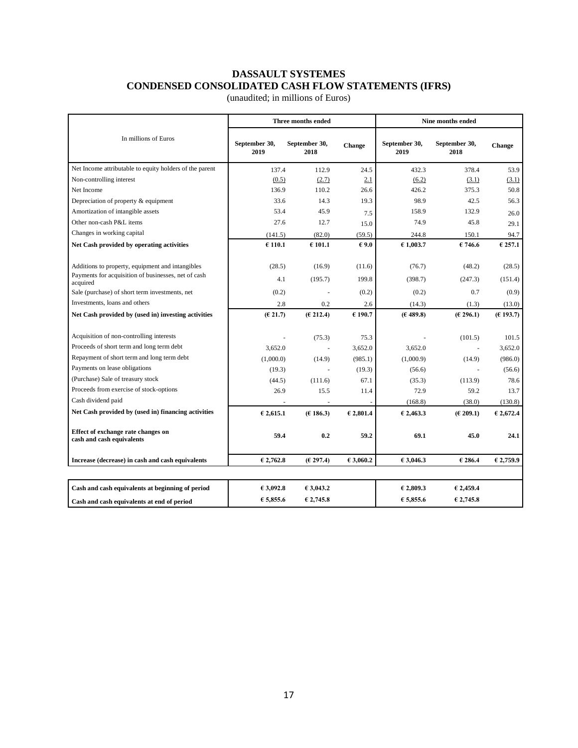# **DASSAULT SYSTEMES CONDENSED CONSOLIDATED CASH FLOW STATEMENTS (IFRS)**

(unaudited; in millions of Euros)

|                                                                 |                       | Three months ended    |                | Nine months ended     |                       |           |  |
|-----------------------------------------------------------------|-----------------------|-----------------------|----------------|-----------------------|-----------------------|-----------|--|
| In millions of Euros                                            | September 30,<br>2019 | September 30,<br>2018 | Change         | September 30,<br>2019 | September 30,<br>2018 | Change    |  |
| Net Income attributable to equity holders of the parent         | 137.4                 | 112.9                 | 24.5           | 432.3                 | 378.4                 | 53.9      |  |
| Non-controlling interest                                        | (0.5)                 | (2.7)                 | 2.1            | (6.2)                 | (3.1)                 | (3.1)     |  |
| Net Income                                                      | 136.9                 | 110.2                 | 26.6           | 426.2                 | 375.3                 | 50.8      |  |
| Depreciation of property & equipment                            | 33.6                  | 14.3                  | 19.3           | 98.9                  | 42.5                  | 56.3      |  |
| Amortization of intangible assets                               | 53.4                  | 45.9                  | 7.5            | 158.9                 | 132.9                 | 26.0      |  |
| Other non-cash P&L items                                        | 27.6                  | 12.7                  | 15.0           | 74.9                  | 45.8                  | 29.1      |  |
| Changes in working capital                                      | (141.5)               | (82.0)                | (59.5)         | 244.8                 | 150.1                 | 94.7      |  |
| Net Cash provided by operating activities                       | €110.1                | €101.1                | $\epsilon$ 9.0 | €1,003.7              | 6746.6                | € 257.1   |  |
| Additions to property, equipment and intangibles                | (28.5)                | (16.9)                | (11.6)         | (76.7)                | (48.2)                | (28.5)    |  |
| Payments for acquisition of businesses, net of cash<br>acquired | 4.1                   | (195.7)               | 199.8          | (398.7)               | (247.3)               | (151.4)   |  |
| Sale (purchase) of short term investments, net                  | (0.2)                 |                       | (0.2)          | (0.2)                 | 0.7                   | (0.9)     |  |
| Investments, loans and others                                   | 2.8                   | 0.2                   | 2.6            | (14.3)                | (1.3)                 | (13.0)    |  |
| Net Cash provided by (used in) investing activities             | (E 21.7)              | (E 212.4)             | €190.7         | (E 489.8)             | (E 296.1)             | (E193.7)  |  |
| Acquisition of non-controlling interests                        |                       | (75.3)                | 75.3           |                       | (101.5)               | 101.5     |  |
| Proceeds of short term and long term debt                       | 3,652.0               | ÷,                    | 3,652.0        | 3,652.0               | ÷,                    | 3,652.0   |  |
| Repayment of short term and long term debt                      | (1,000.0)             | (14.9)                | (985.1)        | (1,000.9)             | (14.9)                | (986.0)   |  |
| Payments on lease obligations                                   | (19.3)                |                       | (19.3)         | (56.6)                |                       | (56.6)    |  |
| (Purchase) Sale of treasury stock                               | (44.5)                | (111.6)               | 67.1           | (35.3)                | (113.9)               | 78.6      |  |
| Proceeds from exercise of stock-options                         | 26.9                  | 15.5                  | 11.4           | 72.9                  | 59.2                  | 13.7      |  |
| Cash dividend paid                                              |                       |                       |                | (168.8)               | (38.0)                | (130.8)   |  |
| Net Cash provided by (used in) financing activities             | € 2,615.1             | (E186.3)              | € 2,801.4      | € 2,463.3             | (E 209.1)             | € 2,672.4 |  |
| Effect of exchange rate changes on<br>cash and cash equivalents | 59.4                  | 0.2                   | 59.2           | 69.1                  | 45.0                  | 24.1      |  |
| Increase (decrease) in cash and cash equivalents                | € 2.762.8             | (E 297.4)             | €3.060.2       | €3,046.3              | € 286.4               | €2,759.9  |  |
| Cash and cash equivalents at beginning of period                | €3,092.8              | €3,043.2              |                | € 2,809.3             | € 2,459.4             |           |  |
|                                                                 | € 5,855.6             | € 2,745.8             |                | € 5.855.6             | € 2,745.8             |           |  |
| Cash and cash equivalents at end of period                      |                       |                       |                |                       |                       |           |  |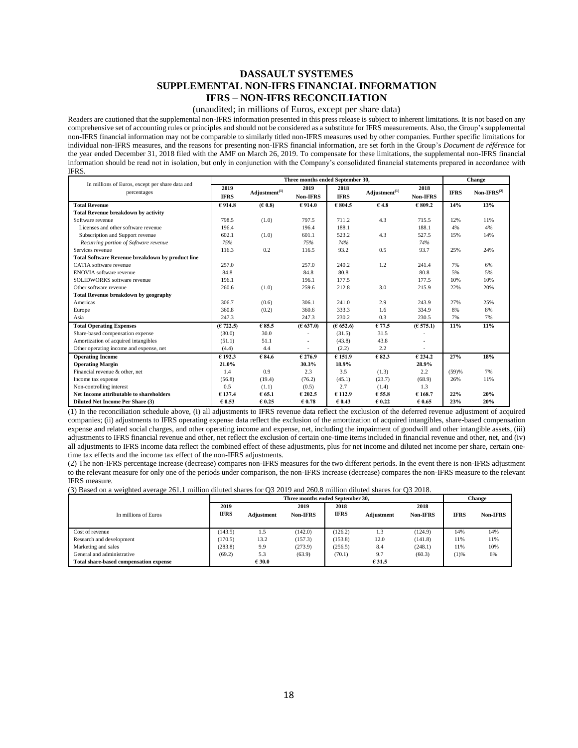### **DASSAULT SYSTEMES SUPPLEMENTAL NON-IFRS FINANCIAL INFORMATION IFRS – NON-IFRS RECONCILIATION**

#### (unaudited; in millions of Euros, except per share data)

Readers are cautioned that the supplemental non-IFRS information presented in this press release is subject to inherent limitations. It is not based on any comprehensive set of accounting rules or principles and should not be considered as a substitute for IFRS measurements. Also, the Group's supplemental non-IFRS financial information may not be comparable to similarly titled non-IFRS measures used by other companies. Further specific limitations for individual non-IFRS measures, and the reasons for presenting non-IFRS financial information, are set forth in the Group's *Document de référence* for the year ended December 31, 2018 filed with the AMF on March 26, 2019. To compensate for these limitations, the supplemental non-IFRS financial information should be read not in isolation, but only in conjunction with the Company's consolidated financial statements prepared in accordance with IFRS.

|                                                         |                                          |        | Three months ended September 30, |             |                           |                 | Change      |               |
|---------------------------------------------------------|------------------------------------------|--------|----------------------------------|-------------|---------------------------|-----------------|-------------|---------------|
| In millions of Euros, except per share data and         | 2019                                     |        | 2019                             | 2018        |                           | 2018            |             |               |
| percentages                                             | Adjustment <sup>(1)</sup><br><b>IFRS</b> |        | <b>Non-IFRS</b>                  | <b>IFRS</b> | Adjustment <sup>(1)</sup> | <b>Non-IFRS</b> | <b>IFRS</b> | $Non-IFRS(2)$ |
| <b>Total Revenue</b>                                    | €914.8                                   | (E0.8) | € 914.0                          | € 804.5     | €4.8                      | € 809.2         | 14%         | 13%           |
| <b>Total Revenue breakdown by activity</b>              |                                          |        |                                  |             |                           |                 |             |               |
| Software revenue                                        | 798.5                                    | (1.0)  | 797.5                            | 711.2       | 4.3                       | 715.5           | 12%         | 11%           |
| Licenses and other software revenue                     | 196.4                                    |        | 196.4                            | 188.1       |                           | 188.1           | 4%          | 4%            |
| Subscription and Support revenue                        | 602.1                                    | (1.0)  | 601.1                            | 523.2       | 4.3                       | 527.5           | 15%         | 14%           |
| Recurring portion of Software revenue                   | 75%                                      |        | 75%                              | 74%         |                           | 74%             |             |               |
| Services revenue                                        | 116.3                                    | 0.2    | 116.5                            | 93.2        | 0.5                       | 93.7            | 25%         | 24%           |
| <b>Total Software Revenue breakdown by product line</b> |                                          |        |                                  |             |                           |                 |             |               |
| CATIA software revenue                                  | 257.0                                    |        | 257.0                            | 240.2       | 1.2                       | 241.4           | 7%          | 6%            |
| <b>ENOVIA</b> software revenue                          | 84.8                                     |        | 84.8                             | 80.8        |                           | 80.8            | 5%          | 5%            |
| SOLIDWORKS software revenue                             | 196.1                                    |        | 196.1                            | 177.5       |                           | 177.5           | 10%         | 10%           |
| Other software revenue                                  | 260.6                                    | (1.0)  | 259.6                            | 212.8       | 3.0                       | 215.9           | 22%         | 20%           |
| <b>Total Revenue breakdown by geography</b>             |                                          |        |                                  |             |                           |                 |             |               |
| Americas                                                | 306.7                                    | (0.6)  | 306.1                            | 241.0       | 2.9                       | 243.9           | 27%         | 25%           |
| Europe                                                  | 360.8                                    | (0.2)  | 360.6                            | 333.3       | 1.6                       | 334.9           | 8%          | 8%            |
| Asia                                                    | 247.3                                    |        | 247.3                            | 230.2       | 0.3                       | 230.5           | 7%          | 7%            |
| <b>Total Operating Expenses</b>                         | (E 722.5)                                | € 85.5 | (E 637.0)                        | (E652.6)    | € 77.5                    | (E 575.1)       | 11%         | 11%           |
| Share-based compensation expense                        | (30.0)                                   | 30.0   |                                  | (31.5)      | 31.5                      |                 |             |               |
| Amortization of acquired intangibles                    | (51.1)                                   | 51.1   |                                  | (43.8)      | 43.8                      | $\sim$          |             |               |
| Other operating income and expense, net                 | (4.4)                                    | 4.4    |                                  | (2.2)       | 2.2                       |                 |             |               |
| <b>Operating Income</b>                                 | 6192.3                                   | € 84.6 | € 276.9                          | 6151.9      | € 82.3                    | 6234.2          | 27%         | 18%           |
| <b>Operating Margin</b>                                 | 21.0%                                    |        | 30.3%                            | 18.9%       |                           | 28.9%           |             |               |
| Financial revenue & other, net                          | 1.4                                      | 0.9    | 2.3                              | 3.5         | (1.3)                     | 2.2             | (59)%       | 7%            |
| Income tax expense                                      | (56.8)                                   | (19.4) | (76.2)                           | (45.1)      | (23.7)                    | (68.9)          | 26%         | 11%           |
| Non-controlling interest                                | 0.5                                      | (1.1)  | (0.5)                            | 2.7         | (1.4)                     | 1.3             |             |               |
| Net Income attributable to shareholders                 | € 137.4                                  | € 65.1 | € 202.5                          | €112.9      | € 55.8                    | € 168.7         | 22%         | 20%           |
| Diluted Net Income Per Share (3)                        | € 0.53                                   | € 0.25 | $\epsilon$ 0.78                  | € 0.43      | $\epsilon$ 0.22           | $\epsilon$ 0.65 | 23%         | 20%           |

(1) In the reconciliation schedule above, (i) all adjustments to IFRS revenue data reflect the exclusion of the deferred revenue adjustment of acquired companies; (ii) adjustments to IFRS operating expense data reflect the exclusion of the amortization of acquired intangibles, share-based compensation expense and related social charges, and other operating income and expense, net, including the impairment of goodwill and other intangible assets, (iii) adjustments to IFRS financial revenue and other, net reflect the exclusion of certain one-time items included in financial revenue and other, net, and (iv) all adjustments to IFRS income data reflect the combined effect of these adjustments, plus for net income and diluted net income per share, certain onetime tax effects and the income tax effect of the non-IFRS adjustments.

(2) The non-IFRS percentage increase (decrease) compares non-IFRS measures for the two different periods. In the event there is non-IFRS adjustment to the relevant measure for only one of the periods under comparison, the non-IFRS increase (decrease) compares the non-IFRS measure to the relevant IFRS measure.

(3) Based on a weighted average 261.1 million diluted shares for Q3 2019 and 260.8 million diluted shares for Q3 2018.

|                                        | Three months ended September 30, |                   |                 |             |                   |                 | Change      |                 |
|----------------------------------------|----------------------------------|-------------------|-----------------|-------------|-------------------|-----------------|-------------|-----------------|
|                                        | 2019                             |                   | 2019            | 2018        |                   | 2018            |             |                 |
| In millions of Euros                   | <b>IFRS</b>                      | <b>Adjustment</b> | <b>Non-IFRS</b> | <b>IFRS</b> | <b>Adiustment</b> | <b>Non-IFRS</b> | <b>IFRS</b> | <b>Non-IFRS</b> |
|                                        |                                  |                   |                 |             |                   |                 |             |                 |
| Cost of revenue                        | (143.5)                          | 1.5               | (142.0)         | (126.2)     | 1.3               | (124.9)         | 14%         | 14%             |
| Research and development               | (170.5)                          | 13.2              | (157.3)         | (153.8)     | 12.0              | (141.8)         | 11%         | 11%             |
| Marketing and sales                    | (283.8)                          | 9.9               | (273.9)         | (256.5)     | 8.4               | (248.1)         | 11%         | 10%             |
| General and administrative             | (69.2)                           | 5.3               | (63.9)          | (70.1)      | 9.7               | (60.3)          | (1)%        | 6%              |
| Total share-based compensation expense |                                  | € 30.0            |                 |             | € 31.5            |                 |             |                 |